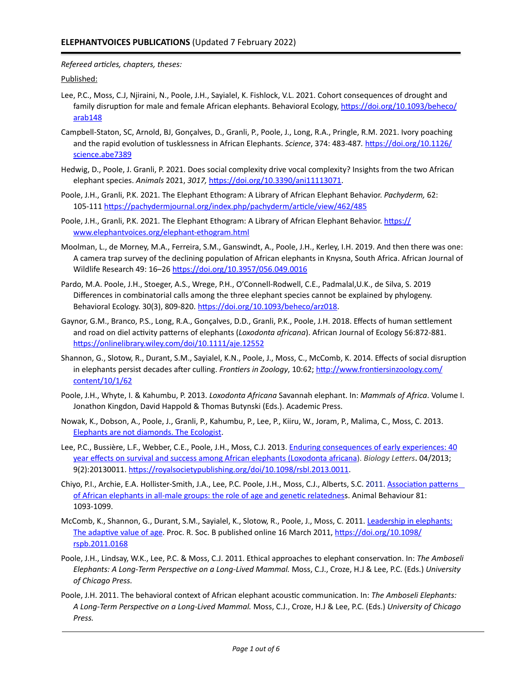*Refereed articles, chapters, theses:*

Published:

- Lee, P.C., Moss, C.J, Njiraini, N., Poole, J.H., Sayialel, K. Fishlock, V.L. 2021. Cohort consequences of drought and family disruption for male and female African elephants. Behavioral Ecology, https://doi.org/10.1093/beheco/ [arab148](https://doi.org/10.1093/beheco/arab148)
- Campbell-Staton, SC, Arnold, BJ, Gonçalves, D., Granli, P., Poole, J., Long, R.A., Pringle, R.M. 2021. Ivory poaching and the rapid evolution of tusklessness in African Elephants. *Science*, 374: 483-487. [https://doi.org/10.1126/](https://doi.org/10.1126/science.abe7389) [science.abe7389](https://doi.org/10.1126/science.abe7389)
- Hedwig, D., Poole, J. Granli, P. 2021. Does social complexity drive vocal complexity? Insights from the two African elephant species. *Animals* 2021, *3017,* [https://doi.org/10.3390/ani11113071.](https://doi.org/10.3390/ani11113071)
- Poole, J.H., Granli, P.K. 2021. The Elephant Ethogram: A Library of African Elephant Behavior. *Pachyderm,* 62: 105-111 <https://pachydermjournal.org/index.php/pachyderm/article/view/462/485>
- Poole, J.H., Granli, P.K. 2021. The Elephant Ethogram: A Library of African Elephant Behavior. [https://](https://www.elephantvoices.org/elephant-ethogram.html) [www.elephantvoices.org/elephant-ethogram.html](https://www.elephantvoices.org/elephant-ethogram.html)
- Moolman, L., de Morney, M.A., Ferreira, S.M., Ganswindt, A., Poole, J.H., Kerley, I.H. 2019. And then there was one: A camera trap survey of the declining population of African elephants in Knysna, South Africa. African Journal of Wildlife Research 49: 16-26 <https://doi.org/10.3957/056.049.0016>
- Pardo, M.A. Poole, J.H., Stoeger, A.S., Wrege, P.H., O'Connell-Rodwell, C.E., Padmalal, U.K., de Silva, S. 2019 Differences in combinatorial calls among the three elephant species cannot be explained by phylogeny. Behavioral Ecology. 30(3), 809-820. https://doi.org/10.1093/beheco/arz018.
- Gaynor, G.M., Branco, P.S., Long, R.A., Gonçalves, D.D., Granli, P.K., Poole, J.H. 2018. Effects of human settlement and road on diel activity patterns of elephants (*Loxodonta africana*). African Journal of Ecology 56:872-881. <https://onlinelibrary.wiley.com/doi/10.1111/aje.12552>
- Shannon, G., Slotow, R., Durant, S.M., Sayialel, K.N., Poole, J., Moss, C., McComb, K. 2014. Effects of social disruption in elephants persist decades after culling. Frontiers in Zoology, 10:62; [http://www.frontiersinzoology.com/](http://www.frontiersinzoology.com/content/10/1/62) [content/10/1/62](http://www.frontiersinzoology.com/content/10/1/62)
- Poole, J.H., Whyte, I. & Kahumbu, P. 2013. *Loxodonta Africana* Savannah elephant. In: *Mammals of Africa*. Volume I. Jonathon Kingdon, David Happold & Thomas Butynski (Eds.). Academic Press.
- Nowak, K., Dobson, A., Poole, J., Granli, P., Kahumbu, P., Lee, P., Kiiru, W., Joram, P., Malima, C., Moss, C. 2013. Elephants are not diamonds. The Ecologist.
- Lee, P.C., Bussière, L.F., Webber, C.E., Poole, J.H., Moss, C.J. 2013. Enduring consequences of early experiences: 40 year effects on survival and success among African elephants (Loxodonta africana). *Biology Letters***.** 04/2013; 9(2):20130011. https://royalsocietypublishing.org/doi/10.1098/rsbl.2013.0011.
- Chiyo, P.I., Archie, E.A. Hollister-Smith, J.A., Lee, P.C. Poole, J.H., Moss, C.J., Alberts, S.C. 2011. Association patterns of African elephants in all-male groups: the role of age and genetic relatedness. Animal Behaviour 81: 1093-1099.
- McComb, K., Shannon, G., Durant, S.M., Sayialel, K., Slotow, R., Poole, J., Moss, C. 2011. Leadership in elephants: The adaptive value of age. Proc. R. Soc. B published online 16 March 2011, https://doi.org/10.1098/ [rspb.2011.0168](https://doi.org/10.1098/rspb.2011.0168)
- Poole, J.H., Lindsay, W.K., Lee, P.C. & Moss, C.J. 2011. Ethical approaches to elephant conservation. In: The Amboseli *Elephants: A Long-Term Perspective on a Long-Lived Mammal.* Moss, C.J., Croze, H.J & Lee, P.C. (Eds.) *University of Chicago Press.*
- Poole, J.H. 2011. The behavioral context of African elephant acoustic communication. In: The Amboseli Elephants: *A Long-Term Perspective on a Long-Lived Mammal.* Moss, C.J., Croze, H.J & Lee, P.C. (Eds.) *University of Chicago Press.*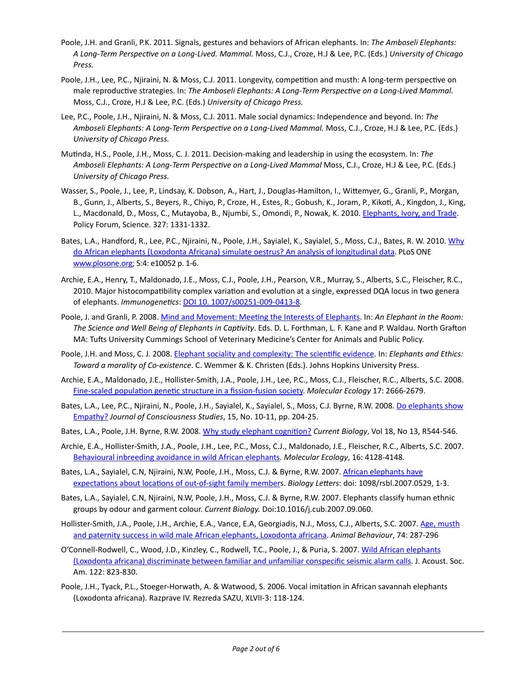- Poole, J.H. and Granli, P.K. 2011. Signals, gestures and behaviors of African elephants. In: The Amboseli Elephants: *A Long-Term Perspective on a Long-Lived. Mammal.* Moss, C.J., Croze, H.J & Lee, P.C. (Eds.) *University of Chicago Press.*
- Poole, J.H., Lee, P.C., Njiraini, N. & Moss, C.J. 2011. Longevity, competition and musth: A long-term perspective on male reproductive strategies. In: The Amboseli Elephants: A Long-Term Perspective on a Long-Lived Mammal. Moss, C.J., Croze, H.J & Lee, P.C. (Eds.) University of Chicago Press.
- Lee, P.C., Poole, J.H., Njiraini, N. & Moss, C.J. 2011. Male social dynamics: Independence and beyond. In: The Amboseli Elephants: A Long-Term Perspective on a Long-Lived Mammal. Moss, C.J., Croze, H.J & Lee, P.C. (Eds.) *University of Chicago Press.*
- Mutinda, H.S., Poole, J.H., Moss, C. J. 2011. Decision-making and leadership in using the ecosystem. In: The Amboseli Elephants: A Long-Term Perspective on a Long-Lived Mammal Moss, C.J., Croze, H.J & Lee, P.C. (Eds.) *University of Chicago Press.*
- Wasser, S., Poole, J., Lee, P., Lindsay, K. Dobson, A., Hart, J., Douglas-Hamilton, I., Wittemyer, G., Granli, P., Morgan, B., Gunn, J., Alberts, S., Beyers, R., Chiyo, P., Croze, H., Estes, R., Gobush, K., Joram, P., Kikoti, A., Kingdon, J., King, L., Macdonald, D., Moss, C., Mutayoba, B., Njumbi, S., Omondi, P., Nowak, K. 2010. Elephants, Ivory, and Trade. Policy Forum, Science. 327: 1331-1332.
- Bates, L.A., Handford, R., Lee, P.C., Njiraini, N., Poole, J.H., Sayialel, K., Sayialel, S., Moss, C.J., Bates, R. W. 2010. Why do African elephants (Loxodonta Africana) simulate oestrus? An analysis of longitudinal data. PLoS ONE [www.plosone.org;](http://www.plosone.org) 5:4: e10052 p. 1-6.
- Archie, E.A., Henry, T., Maldonado, J.E., Moss, C.J., Poole, J.H., Pearson, V.R., Murray, S., Alberts, S.C., Fleischer, R.C., 2010. Major histocompatibility complex variation and evolution at a single, expressed DQA locus in two genera of elephants. *Immunogenetics*: **DOI 10. 1007/s00251-009-0413-8.**
- Poole, J. and Granli, P. 2008. Mind and Movement: Meeting the Interests of Elephants. In: An Elephant in the Room: The Science and Well Being of Elephants in Captivity. Eds. D. L. Forthman, L. F. Kane and P. Waldau. North Grafton MA: Tufts University Cummings School of Veterinary Medicine's Center for Animals and Public Policy.
- Poole, J.H. and Moss, C. J. 2008. Elephant sociality and complexity: The scientific evidence. In: *Elephants and Ethics:* Toward a morality of Co-existence. C. Wemmer & K. Christen (Eds.). Johns Hopkins University Press.
- Archie, E.A., Maldonado, J.E., Hollister-Smith, J.A., Poole, J.H., Lee, P.C., Moss, C.J., Fleischer, R.C., Alberts, S.C. 2008. Fine-scaled population genetic structure in a fission-fusion society. *Molecular Ecology* 17: 2666-2679.
- Bates, L.A., Lee, P.C., Njiraini, N., Poole, J.H., Sayialel, K., Sayialel, S., Moss, C.J. Byrne, R.W. 2008. Do elephants show [Empathy?](https://www.elephantvoices.org/multimedia-resources/document-download-center/category/69-elephantvoices-publications.html?download=74:bates-et-al-2008-do-elephant-show-empathy) Journal of Consciousness Studies, 15, No. 10-11, pp. 204-25.
- Bates, L.A., Poole, J.H. Byrne, R.W. 2008. Why study elephant cognition? *Current Biology*, Vol 18, No 13, R544-546.
- Archie, E.A., Hollister-Smith, J.A., Poole, J.H., Lee, P.C., Moss, C.J., Maldonado, J.E., Fleischer, R.C., Alberts, S.C. 2007. Behavioural inbreeding avoidance in wild African elephants. Molecular Ecology, 16: 4128-4148.
- Bates, L.A., Sayialel, C.N, Njiraini, N.W, Poole, J.H., Moss, C.J. & Byrne, R.W. 2007. African elephants have expectations about locations of out-of-sight family members. *Biology Letters*: doi: 1098/rsbl.2007.0529, 1-3.
- Bates, L.A., Sayialel, C.N, Njiraini, N.W, Poole, J.H., Moss, C.J. & Byrne, R.W. 2007. Elephants classify human ethnic groups by odour and garment colour. *Current Biology*. Doi:10.1016/j.cub.2007.09.060.
- Hollister-Smith, J.A., Poole, J.H., Archie, E.A., Vance, E.A, Georgiadis, N.J., Moss, C.J., Alberts, S.C. 2007. Age, musth and paternity success in wild male African elephants, Loxodonta africana. Animal Behaviour, 74: 287-296
- O'Connell-Rodwell, C., Wood, J.D., Kinzley, C., Rodwell, T.C., Poole, J., & Puria, S. 2007. Wild African elephants (Loxodonta africana) discriminate between familiar and unfamiliar conspecific seismic alarm calls. J. Acoust. Soc. Am. 122: 823-830.
- Poole, J.H., Tyack, P.L., Stoeger-Horwath, A. & Watwood, S. 2006. Vocal imitation in African savannah elephants (Loxodonta africana). Razprave IV. Rezreda SAZU, XLVII-3: 118-124.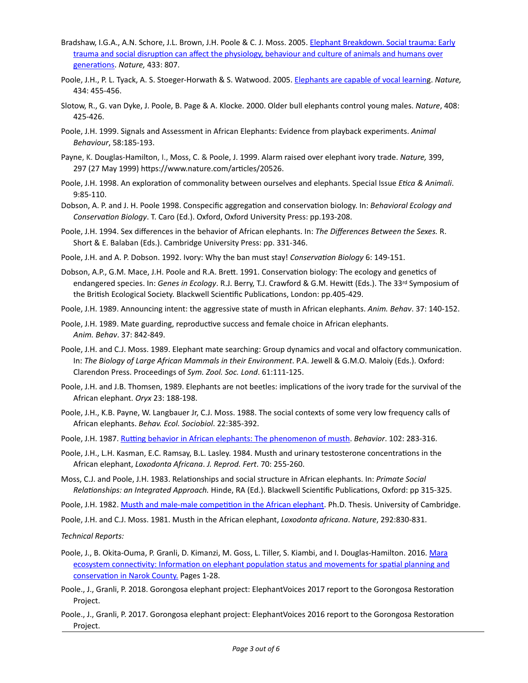- Bradshaw, I.G.A., A.N. Schore, J.L. Brown, J.H. Poole & C. J. Moss. 2005. Elephant Breakdown. Social trauma: Early trauma and social disruption can affect the physiology, behaviour and culture of animals and humans over [generations.](https://www.elephantvoices.org/multimedia-resources/document-download-center/category/69-elephantvoices-publications.html?download=59:bradshaw-et-al-2005-elephant-breakdown) Nature, 433: 807.
- Poole, J.H., P. L. Tyack, A. S. Stoeger-Horwath & S. Watwood. 2005. Elephants are capable of vocal learning. Nature, 434: 455-456.
- Slotow, R., G. van Dyke, J. Poole, B. Page & A. Klocke. 2000. Older bull elephants control young males. Nature, 408: 425-426.
- Poole, J.H. 1999. Signals and Assessment in African Elephants: Evidence from playback experiments. *Animal Behaviour*, 58:185-193.
- Payne, K. Douglas-Hamilton, I., Moss, C. & Poole, J. 1999. Alarm raised over elephant ivory trade. *Nature*, 399, 297 (27 May 1999) https://www.nature.com/articles/20526.
- Poole, J.H. 1998. An exploration of commonality between ourselves and elephants. Special Issue *Etica & Animali*. 9:85-110.
- Dobson, A. P. and J. H. Poole 1998. Conspecific aggregation and conservation biology. In: Behavioral Ecology and *Conservation Biology*. T. Caro (Ed.). Oxford, Oxford University Press: pp.193-208.
- Poole, J.H. 1994. Sex differences in the behavior of African elephants. In: The Differences Between the Sexes. R. Short & E. Balaban (Eds.). Cambridge University Press: pp. 331-346.
- Poole, J.H. and A. P. Dobson. 1992. Ivory: Why the ban must stay! *Conservation Biology* 6: 149-151.
- Dobson, A.P., G.M. Mace, J.H. Poole and R.A. Brett. 1991. Conservation biology: The ecology and genetics of endangered species. In: *Genes in Ecology*. R.J. Berry, T.J. Crawford & G.M. Hewitt (Eds.). The 33rd Symposium of the British Ecological Society. Blackwell Scientific Publications, London: pp.405-429.
- Poole, J.H. 1989. Announcing intent: the aggressive state of musth in African elephants. Anim. Behav. 37: 140-152.
- Poole, J.H. 1989. Mate guarding, reproductive success and female choice in African elephants. *Anim. Behav*. 37: 842-849.
- Poole, J.H. and C.J. Moss. 1989. Elephant mate searching: Group dynamics and vocal and olfactory communication. In: The Biology of Large African Mammals in their Environment. P.A. Jewell & G.M.O. Maloiy (Eds.). Oxford: Clarendon Press. Proceedings of *Sym. Zool. Soc. Lond*. 61:111-125.
- Poole, J.H. and J.B. Thomsen, 1989. Elephants are not beetles: implications of the ivory trade for the survival of the African elephant. Oryx 23: 188-198.
- Poole, J.H., K.B. Payne, W. Langbauer Jr, C.J. Moss. 1988. The social contexts of some very low frequency calls of African elephants. *Behav. Ecol. Sociobiol*. 22:385-392.
- Poole, J.H. 1987. Rutting behavior in African elephants: The phenomenon of musth. Behavior. 102: 283-316.
- Poole, J.H., L.H. Kasman, E.C. Ramsay, B.L. Lasley. 1984. Musth and urinary testosterone concentrations in the African elephant, Loxodonta Africana. J. Reprod. Fert. 70: 255-260.
- Moss, C.J. and Poole, J.H. 1983. Relationships and social structure in African elephants. In: Primate Social *Relationships: an Integrated Approach.* Hinde, RA (Ed.). Blackwell Scientific Publications, Oxford: pp 315-325.
- Poole, J.H. 1982. Musth and male-male competition in the African elephant. Ph.D. Thesis. University of Cambridge.
- Poole, J.H. and C.J. Moss. 1981. Musth in the African elephant, *Loxodonta africana*. Nature, 292:830-831.

*Technical Reports:*

- Poole, J., B. Okita-Ouma, P. Granli, D. Kimanzi, M. Goss, L. Tiller, S. Kiambi, and I. Douglas-Hamilton. 2016. Mara ecosystem connectivity: Information on elephant population status and movements for spatial planning and conservation in Narok County. Pages 1-28.
- Poole., J., Granli, P. 2018. Gorongosa elephant project: ElephantVoices 2017 report to the Gorongosa Restoration Project.
- Poole., J., Granli, P. 2017. Gorongosa elephant project: ElephantVoices 2016 report to the Gorongosa Restoration Project.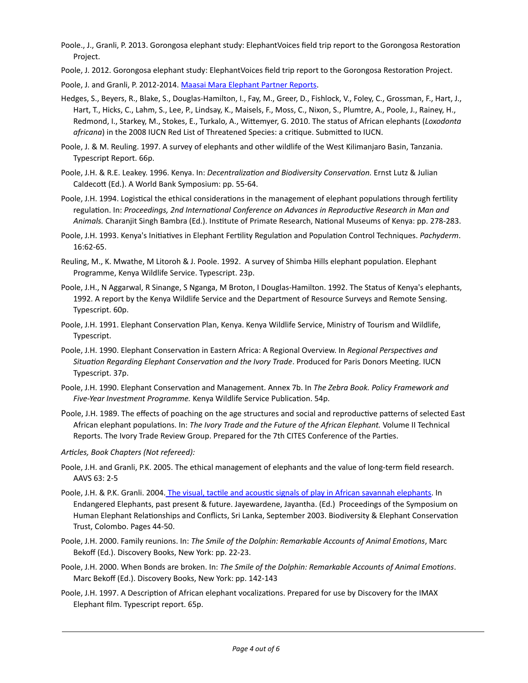- Poole., J., Granli, P. 2013. Gorongosa elephant study: ElephantVoices field trip report to the Gorongosa Restoration Project.
- Poole, J. 2012. Gorongosa elephant study: ElephantVoices field trip report to the Gorongosa Restoration Project.

Poole, J. and Granli, P. 2012-2014. Maasai Mara Elephant Partner Reports.

- Hedges, S., Beyers, R., Blake, S., Douglas-Hamilton, I., Fay, M., Greer, D., Fishlock, V., Foley, C., Grossman, F., Hart, J., Hart, T., Hicks, C., Lahm, S., Lee, P., Lindsay, K., Maisels, F., Moss, C., Nixon, S., Plumtre, A., Poole, J., Rainey, H., Redmond, I., Starkey, M., Stokes, E., Turkalo, A., Wittemyer, G. 2010. The status of African elephants (*Loxodonta africana*) in the 2008 IUCN Red List of Threatened Species: a critique. Submitted to IUCN.
- Poole, J. & M. Reuling. 1997. A survey of elephants and other wildlife of the West Kilimanjaro Basin, Tanzania. Typescript Report. 66p.
- Poole, J.H. & R.E. Leakey. 1996. Kenya. In: *Decentralization and Biodiversity Conservation.* Ernst Lutz & Julian Caldecott (Ed.). A World Bank Symposium: pp. 55-64.
- Poole, J.H. 1994. Logistical the ethical considerations in the management of elephant populations through fertility regulation. In: Proceedings, 2nd International Conference on Advances in Reproductive Research in Man and Animals. Charanjit Singh Bambra (Ed.). Institute of Primate Research, National Museums of Kenya: pp. 278-283.
- Poole, J.H. 1993. Kenya's Initiatives in Elephant Fertility Regulation and Population Control Techniques. *Pachyderm*. 16:62-65.
- Reuling, M., K. Mwathe, M Litoroh & J. Poole. 1992. A survey of Shimba Hills elephant population. Elephant Programme, Kenya Wildlife Service. Typescript. 23p.
- Poole, J.H., N Aggarwal, R Sinange, S Nganga, M Broton, I Douglas-Hamilton. 1992. The Status of Kenya's elephants, 1992. A report by the Kenya Wildlife Service and the Department of Resource Surveys and Remote Sensing. Typescript. 60p.
- Poole, J.H. 1991. Elephant Conservation Plan, Kenya. Kenya Wildlife Service, Ministry of Tourism and Wildlife, Typescript.
- Poole, J.H. 1990. Elephant Conservation in Eastern Africa: A Regional Overview. In *Regional Perspectives and Situation Regarding Elephant Conservation and the Ivory Trade*. Produced for Paris Donors Meeting. IUCN Typescript. 37p.
- Poole, J.H. 1990. Elephant Conservation and Management. Annex 7b. In The Zebra Book. Policy Framework and Five-Year Investment Programme. Kenya Wildlife Service Publication. 54p.
- Poole, J.H. 1989. The effects of poaching on the age structures and social and reproductive patterns of selected East African elephant populations. In: The Ivory Trade and the Future of the African Elephant. Volume II Technical Reports. The Ivory Trade Review Group. Prepared for the 7th CITES Conference of the Parties.
- Articles, Book Chapters (Not refereed):
- Poole, J.H. and Granli, P.K. 2005. The ethical management of elephants and the value of long-term field research. AAVS 63: 2-5
- Poole, J.H. & P.K. Granli. 2004. The visual, tactile and acoustic signals of play in African savannah elephants. In Endangered Elephants, past present & future. Jayewardene, Jayantha. (Ed.) Proceedings of the Symposium on Human Elephant Relationships and Conflicts, Sri Lanka, September 2003. Biodiversity & Elephant Conservation Trust, Colombo. Pages 44-50.
- Poole, J.H. 2000. Family reunions. In: The Smile of the Dolphin: Remarkable Accounts of Animal Emotions, Marc Bekoff (Ed.). Discovery Books, New York: pp. 22-23.
- Poole, J.H. 2000. When Bonds are broken. In: The Smile of the Dolphin: Remarkable Accounts of Animal Emotions. Marc Bekoff (Ed.). Discovery Books, New York: pp. 142-143
- Poole, J.H. 1997. A Description of African elephant vocalizations. Prepared for use by Discovery for the IMAX Elephant film. Typescript report. 65p.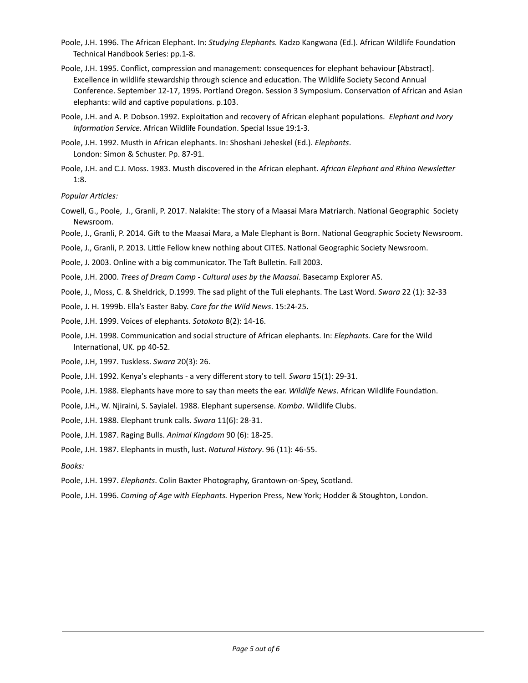- Poole, J.H. 1996. The African Elephant. In: Studying Elephants. Kadzo Kangwana (Ed.). African Wildlife Foundation Technical Handbook Series: pp.1-8.
- Poole, J.H. 1995. Conflict, compression and management: consequences for elephant behaviour [Abstract]. Excellence in wildlife stewardship through science and education. The Wildlife Society Second Annual Conference. September 12-17, 1995. Portland Oregon. Session 3 Symposium. Conservation of African and Asian elephants: wild and captive populations. p.103.
- Poole, J.H. and A. P. Dobson.1992. Exploitation and recovery of African elephant populations. *Elephant and Ivory Information Service*. African Wildlife Foundation. Special Issue 19:1-3.
- Poole, J.H. 1992. Musth in African elephants. In: Shoshani Jeheskel (Ed.). *Elephants*. London: Simon & Schuster. Pp. 87-91.
- Poole, J.H. and C.J. Moss. 1983. Musth discovered in the African elephant. African Elephant and Rhino Newsletter 1:8.

*Popular Articles:*

- Cowell, G., Poole, J., Granli, P. 2017. Nalakite: The story of a Maasai Mara Matriarch. National Geographic Society Newsroom.
- Poole, J., Granli, P. 2014. Gift to the Maasai Mara, a Male Elephant is Born. National Geographic Society Newsroom.
- Poole, J., Granli, P. 2013. Little Fellow knew nothing about CITES. National Geographic Society Newsroom.
- Poole, J. 2003. Online with a big communicator. The Taft Bulletin. Fall 2003.
- Poole, J.H. 2000. *Trees of Dream Camp Cultural uses by the Maasai*. Basecamp Explorer AS.
- Poole, J., Moss, C. & Sheldrick, D.1999. The sad plight of the Tuli elephants. The Last Word. Swara 22 (1): 32-33
- Poole, J. H. 1999b. Ella's Easter Baby. *Care for the Wild News*. 15:24-25.
- Poole, J.H. 1999. Voices of elephants. *Sotokoto* 8(2): 14-16.
- Poole, J.H. 1998. Communication and social structure of African elephants. In: *Elephants.* Care for the Wild International, UK. pp 40-52.
- Poole, J.H, 1997. Tuskless. Swara 20(3): 26.
- Poole, J.H. 1992. Kenya's elephants a very different story to tell. Swara 15(1): 29-31.
- Poole, J.H. 1988. Elephants have more to say than meets the ear. *Wildlife News*. African Wildlife Foundation.
- Poole, J.H., W. Njiraini, S. Sayialel. 1988. Elephant supersense. *Komba*. Wildlife Clubs.
- Poole, J.H. 1988. Elephant trunk calls. Swara 11(6): 28-31.
- Poole, J.H. 1987. Raging Bulls. Animal Kingdom 90 (6): 18-25.
- Poole, J.H. 1987. Elephants in musth, lust. *Natural History*. 96 (11): 46-55.
- *Books:*
- Poole, J.H. 1997. *Elephants*. Colin Baxter Photography, Grantown-on-Spey, Scotland.
- Poole, J.H. 1996. *Coming of Age with Elephants.* Hyperion Press, New York; Hodder & Stoughton, London.